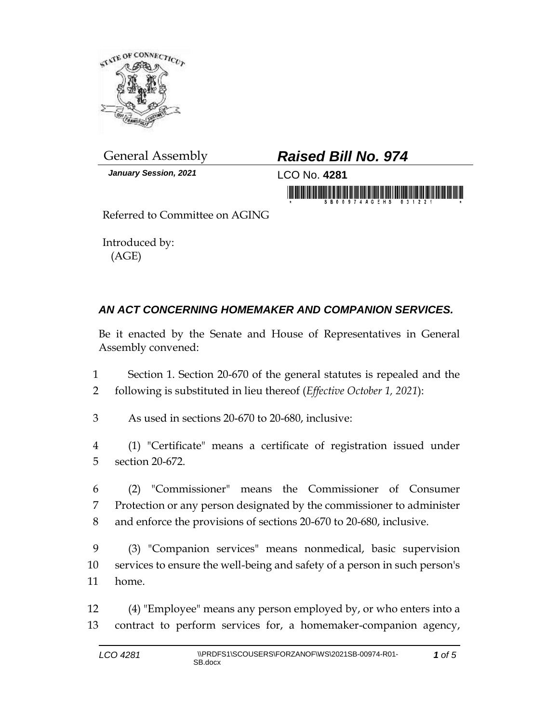

*January Session, 2021* LCO No. **4281**

## General Assembly *Raised Bill No. 974*

in morning is in his hind fairly maked in his incommunit

Referred to Committee on AGING

Introduced by: (AGE)

## *AN ACT CONCERNING HOMEMAKER AND COMPANION SERVICES.*

Be it enacted by the Senate and House of Representatives in General Assembly convened:

- 1 Section 1. Section 20-670 of the general statutes is repealed and the 2 following is substituted in lieu thereof (*Effective October 1, 2021*):
- 3 As used in sections 20-670 to 20-680, inclusive:
- 4 (1) "Certificate" means a certificate of registration issued under 5 section 20-672.
- 6 (2) "Commissioner" means the Commissioner of Consumer 7 Protection or any person designated by the commissioner to administer 8 and enforce the provisions of sections 20-670 to 20-680, inclusive.
- 9 (3) "Companion services" means nonmedical, basic supervision 10 services to ensure the well-being and safety of a person in such person's 11 home.
- 12 (4) "Employee" means any person employed by, or who enters into a 13 contract to perform services for, a homemaker-companion agency,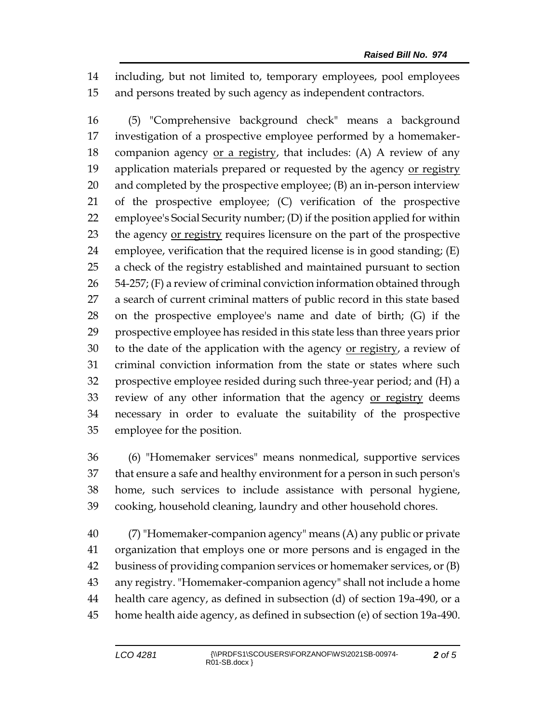including, but not limited to, temporary employees, pool employees and persons treated by such agency as independent contractors.

 (5) "Comprehensive background check" means a background investigation of a prospective employee performed by a homemaker-18 companion agency or a registry, that includes: (A) A review of any 19 application materials prepared or requested by the agency or registry and completed by the prospective employee; (B) an in-person interview of the prospective employee; (C) verification of the prospective employee's Social Security number; (D) if the position applied for within 23 the agency or registry requires licensure on the part of the prospective employee, verification that the required license is in good standing; (E) a check of the registry established and maintained pursuant to section 26 54-257; (F) a review of criminal conviction information obtained through a search of current criminal matters of public record in this state based on the prospective employee's name and date of birth; (G) if the prospective employee has resided in this state less than three years prior 30 to the date of the application with the agency or registry, a review of criminal conviction information from the state or states where such prospective employee resided during such three-year period; and (H) a 33 review of any other information that the agency <u>or registry</u> deems necessary in order to evaluate the suitability of the prospective employee for the position.

 (6) "Homemaker services" means nonmedical, supportive services that ensure a safe and healthy environment for a person in such person's home, such services to include assistance with personal hygiene, cooking, household cleaning, laundry and other household chores.

 (7) "Homemaker-companion agency" means (A) any public or private organization that employs one or more persons and is engaged in the business of providing companion services or homemaker services, or (B) any registry. "Homemaker-companion agency" shall not include a home health care agency, as defined in subsection (d) of section 19a-490, or a home health aide agency, as defined in subsection (e) of section 19a-490.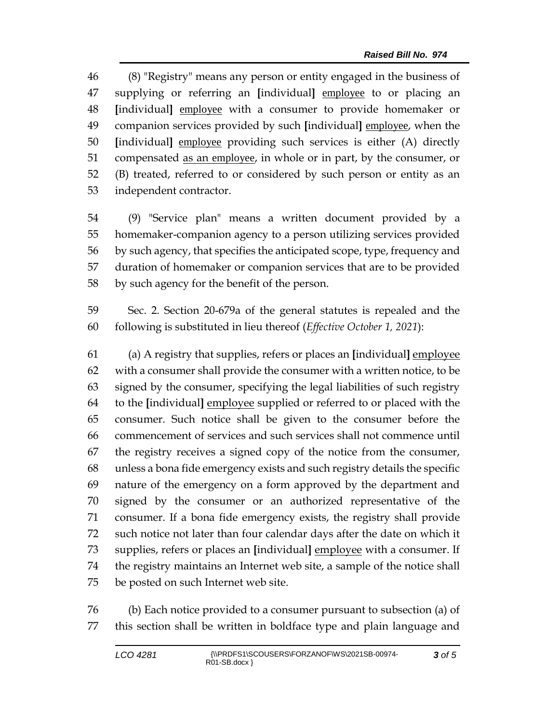(8) "Registry" means any person or entity engaged in the business of supplying or referring an **[**individual**]** employee to or placing an **[**individual**]** employee with a consumer to provide homemaker or companion services provided by such **[**individual**]** employee, when the **[**individual**]** employee providing such services is either (A) directly compensated as an employee, in whole or in part, by the consumer, or (B) treated, referred to or considered by such person or entity as an independent contractor.

- (9) "Service plan" means a written document provided by a homemaker-companion agency to a person utilizing services provided by such agency, that specifies the anticipated scope, type, frequency and duration of homemaker or companion services that are to be provided by such agency for the benefit of the person.
- Sec. 2. Section 20-679a of the general statutes is repealed and the following is substituted in lieu thereof (*Effective October 1, 2021*):

 (a) A registry that supplies, refers or places an **[**individual**]** employee with a consumer shall provide the consumer with a written notice, to be signed by the consumer, specifying the legal liabilities of such registry to the **[**individual**]** employee supplied or referred to or placed with the consumer. Such notice shall be given to the consumer before the commencement of services and such services shall not commence until the registry receives a signed copy of the notice from the consumer, unless a bona fide emergency exists and such registry details the specific nature of the emergency on a form approved by the department and signed by the consumer or an authorized representative of the consumer. If a bona fide emergency exists, the registry shall provide such notice not later than four calendar days after the date on which it supplies, refers or places an **[**individual**]** employee with a consumer. If the registry maintains an Internet web site, a sample of the notice shall be posted on such Internet web site.

 (b) Each notice provided to a consumer pursuant to subsection (a) of this section shall be written in boldface type and plain language and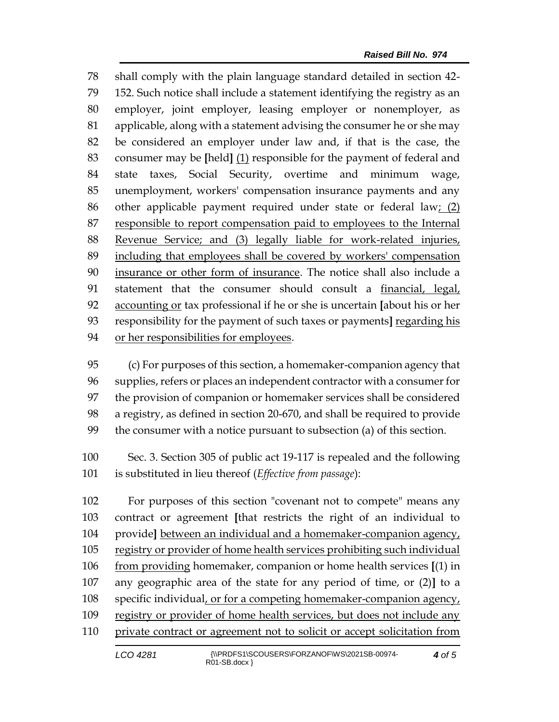shall comply with the plain language standard detailed in section 42- 152. Such notice shall include a statement identifying the registry as an employer, joint employer, leasing employer or nonemployer, as applicable, along with a statement advising the consumer he or she may be considered an employer under law and, if that is the case, the consumer may be **[**held**]** (1) responsible for the payment of federal and state taxes, Social Security, overtime and minimum wage, unemployment, workers' compensation insurance payments and any other applicable payment required under state or federal law; (2) responsible to report compensation paid to employees to the Internal Revenue Service; and (3) legally liable for work-related injuries, including that employees shall be covered by workers' compensation insurance or other form of insurance. The notice shall also include a statement that the consumer should consult a financial, legal, accounting or tax professional if he or she is uncertain **[**about his or her responsibility for the payment of such taxes or payments**]** regarding his or her responsibilities for employees.

 (c) For purposes of this section, a homemaker-companion agency that supplies, refers or places an independent contractor with a consumer for the provision of companion or homemaker services shall be considered a registry, as defined in section 20-670, and shall be required to provide the consumer with a notice pursuant to subsection (a) of this section.

 Sec. 3. Section 305 of public act 19-117 is repealed and the following is substituted in lieu thereof (*Effective from passage*):

 For purposes of this section "covenant not to compete" means any contract or agreement **[**that restricts the right of an individual to provide**]** between an individual and a homemaker-companion agency, 105 registry or provider of home health services prohibiting such individual from providing homemaker, companion or home health services **[**(1) in any geographic area of the state for any period of time, or (2)**]** to a specific individual, or for a competing homemaker-companion agency, registry or provider of home health services, but does not include any private contract or agreement not to solicit or accept solicitation from